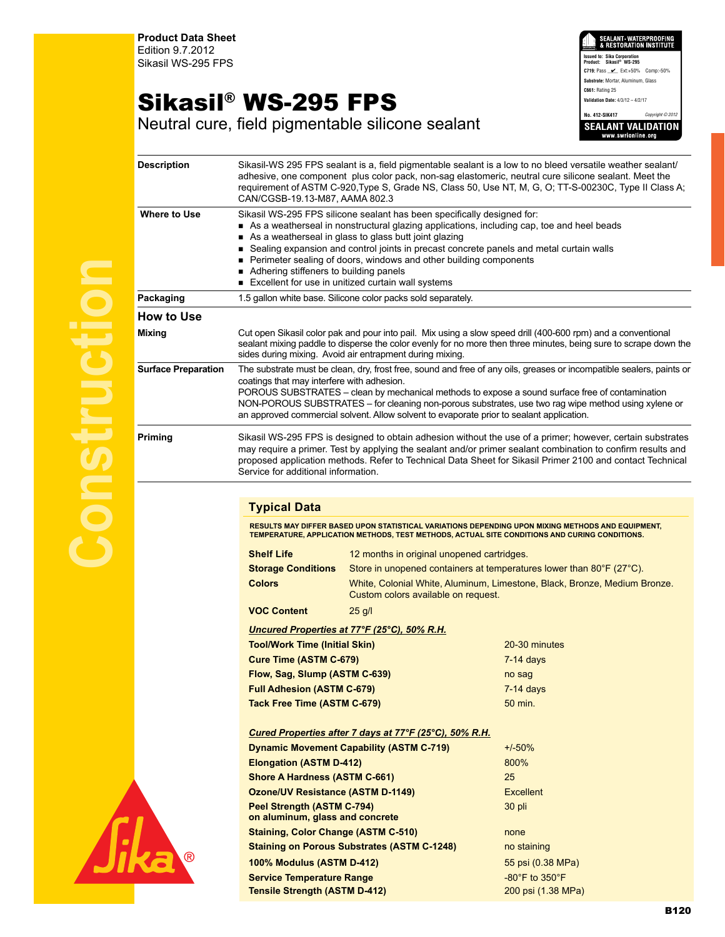**Product Data Sheet** Edition 9.7.2012 Sikasil WS-295 FPS

## Sikasil® WS-295 FPS

SEALANT WATERPROOFING<br>& RESTORATION INSTITUTE **Issued to: Sika Corporation Product: Sikasil® WS-295 C719: Pass \_\_\_\_\_** Ext:+50% Comp:-50% **Substrate:** Mortar, Aluminum, Glass **C661:** Rating 25 **Validation Date:** 4/3/12 – 4/2/17 **No. 412-SIK417** *Copyright © 2012* **SEALANT VALIDATION** 

Neutral cure, field pigmentable silicone sealant

| <b>Description</b>         | Sikasil-WS 295 FPS sealant is a, field pigmentable sealant is a low to no bleed versatile weather sealant/<br>adhesive, one component plus color pack, non-sag elastomeric, neutral cure silicone sealant. Meet the<br>requirement of ASTM C-920, Type S, Grade NS, Class 50, Use NT, M, G, O; TT-S-00230C, Type II Class A;<br>CAN/CGSB-19.13-M87, AAMA 802.3                                                                                                                                  |                                                                      |                                                                           |  |
|----------------------------|-------------------------------------------------------------------------------------------------------------------------------------------------------------------------------------------------------------------------------------------------------------------------------------------------------------------------------------------------------------------------------------------------------------------------------------------------------------------------------------------------|----------------------------------------------------------------------|---------------------------------------------------------------------------|--|
| <b>Where to Use</b>        | Sikasil WS-295 FPS silicone sealant has been specifically designed for:<br>As a weatherseal in nonstructural glazing applications, including cap, toe and heel beads<br>As a weatherseal in glass to glass butt joint glazing<br>■ Sealing expansion and control joints in precast concrete panels and metal curtain walls<br>Perimeter sealing of doors, windows and other building components<br>Adhering stiffeners to building panels<br>Excellent for use in unitized curtain wall systems |                                                                      |                                                                           |  |
| Packaging                  | 1.5 gallon white base. Silicone color packs sold separately.                                                                                                                                                                                                                                                                                                                                                                                                                                    |                                                                      |                                                                           |  |
| <b>How to Use</b>          |                                                                                                                                                                                                                                                                                                                                                                                                                                                                                                 |                                                                      |                                                                           |  |
| <b>Mixing</b>              | Cut open Sikasil color pak and pour into pail. Mix using a slow speed drill (400-600 rpm) and a conventional<br>sealant mixing paddle to disperse the color evenly for no more then three minutes, being sure to scrape down the<br>sides during mixing. Avoid air entrapment during mixing.                                                                                                                                                                                                    |                                                                      |                                                                           |  |
| <b>Surface Preparation</b> | The substrate must be clean, dry, frost free, sound and free of any oils, greases or incompatible sealers, paints or<br>coatings that may interfere with adhesion.<br>POROUS SUBSTRATES - clean by mechanical methods to expose a sound surface free of contamination<br>NON-POROUS SUBSTRATES - for cleaning non-porous substrates, use two rag wipe method using xylene or<br>an approved commercial solvent. Allow solvent to evaporate prior to sealant application.                        |                                                                      |                                                                           |  |
| <b>Priming</b>             | Sikasil WS-295 FPS is designed to obtain adhesion without the use of a primer; however, certain substrates<br>may require a primer. Test by applying the sealant and/or primer sealant combination to confirm results and<br>proposed application methods. Refer to Technical Data Sheet for Sikasil Primer 2100 and contact Technical<br>Service for additional information.                                                                                                                   |                                                                      |                                                                           |  |
|                            |                                                                                                                                                                                                                                                                                                                                                                                                                                                                                                 |                                                                      |                                                                           |  |
|                            | <b>Typical Data</b><br><b>RESULTS MAY DIFFER BASED UPON STATISTICAL VARIATIONS DEPENDING UPON MIXING METHODS AND EQUIPMENT,</b><br>TEMPERATURE, APPLICATION METHODS, TEST METHODS, ACTUAL SITE CONDITIONS AND CURING CONDITIONS.                                                                                                                                                                                                                                                                |                                                                      |                                                                           |  |
|                            |                                                                                                                                                                                                                                                                                                                                                                                                                                                                                                 |                                                                      |                                                                           |  |
|                            | <b>Shelf Life</b>                                                                                                                                                                                                                                                                                                                                                                                                                                                                               | 12 months in original unopened cartridges.                           |                                                                           |  |
|                            | <b>Storage Conditions</b>                                                                                                                                                                                                                                                                                                                                                                                                                                                                       | Store in unopened containers at temperatures lower than 80°F (27°C). |                                                                           |  |
|                            | <b>Colors</b>                                                                                                                                                                                                                                                                                                                                                                                                                                                                                   | Custom colors available on request.                                  | White, Colonial White, Aluminum, Limestone, Black, Bronze, Medium Bronze. |  |
|                            | <b>VOC Content</b>                                                                                                                                                                                                                                                                                                                                                                                                                                                                              | $25$ g/l                                                             |                                                                           |  |
|                            |                                                                                                                                                                                                                                                                                                                                                                                                                                                                                                 | Uncured Properties at 77°F (25°C), 50% R.H.                          |                                                                           |  |
|                            | <b>Tool/Work Time (Initial Skin)</b>                                                                                                                                                                                                                                                                                                                                                                                                                                                            |                                                                      | 20-30 minutes                                                             |  |
|                            | <b>Cure Time (ASTM C-679)</b>                                                                                                                                                                                                                                                                                                                                                                                                                                                                   |                                                                      | $7-14$ days                                                               |  |
|                            | Flow, Sag, Slump (ASTM C-639)                                                                                                                                                                                                                                                                                                                                                                                                                                                                   |                                                                      | no sag                                                                    |  |
|                            | <b>Full Adhesion (ASTM C-679)</b><br>Tack Free Time (ASTM C-679)                                                                                                                                                                                                                                                                                                                                                                                                                                |                                                                      | $7-14$ days                                                               |  |
|                            |                                                                                                                                                                                                                                                                                                                                                                                                                                                                                                 |                                                                      | 50 min.                                                                   |  |
|                            | <u>Cured Properties after 7 days at 77°F (25°C), 50% R.H.</u>                                                                                                                                                                                                                                                                                                                                                                                                                                   |                                                                      |                                                                           |  |
|                            | <b>Dynamic Movement Capability (ASTM C-719)</b><br><b>Elongation (ASTM D-412)</b><br><b>Shore A Hardness (ASTM C-661)</b>                                                                                                                                                                                                                                                                                                                                                                       |                                                                      | $+/-50%$                                                                  |  |
|                            |                                                                                                                                                                                                                                                                                                                                                                                                                                                                                                 |                                                                      | 800%                                                                      |  |
|                            |                                                                                                                                                                                                                                                                                                                                                                                                                                                                                                 |                                                                      | 25                                                                        |  |
|                            | <b>Ozone/UV Resistance (ASTM D-1149)</b>                                                                                                                                                                                                                                                                                                                                                                                                                                                        |                                                                      | <b>Excellent</b>                                                          |  |
|                            | Peel Strength (ASTM C-794)<br>on aluminum, glass and concrete                                                                                                                                                                                                                                                                                                                                                                                                                                   |                                                                      | 30 pli                                                                    |  |
|                            | <b>Staining, Color Change (ASTM C-510)</b>                                                                                                                                                                                                                                                                                                                                                                                                                                                      |                                                                      | none                                                                      |  |
|                            | <b>Staining on Porous Substrates (ASTM C-1248)</b>                                                                                                                                                                                                                                                                                                                                                                                                                                              |                                                                      | no staining                                                               |  |
|                            | <b>100% Modulus (ASTM D-412)</b>                                                                                                                                                                                                                                                                                                                                                                                                                                                                |                                                                      | 55 psi (0.38 MPa)                                                         |  |
|                            | <b>Service Temperature Range</b>                                                                                                                                                                                                                                                                                                                                                                                                                                                                |                                                                      | $-80^\circ$ F to $350^\circ$ F                                            |  |
|                            | <b>Tensile Strength (ASTM D-412)</b>                                                                                                                                                                                                                                                                                                                                                                                                                                                            |                                                                      | 200 psi (1.38 MPa)                                                        |  |